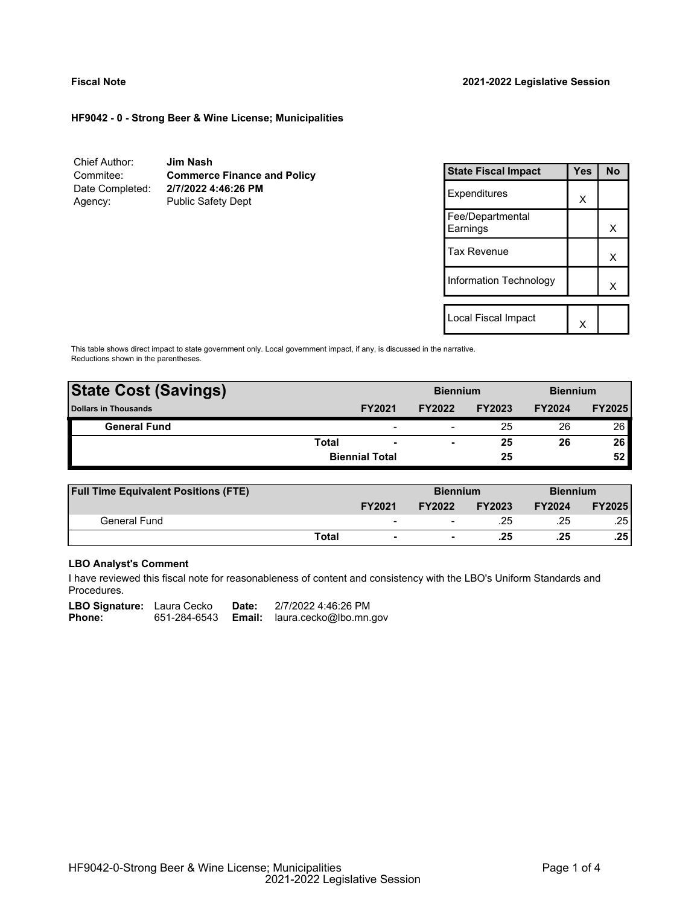# **Fiscal Note 2021-2022 Legislative Session**

# **HF9042 - 0 - Strong Beer & Wine License; Municipalities**

| Chief Author:   | Jim Nash                           |
|-----------------|------------------------------------|
| Commitee:       | <b>Commerce Finance and Policy</b> |
| Date Completed: | 2/7/2022 4:46:26 PM                |
| Agency:         | <b>Public Safety Dept</b>          |

| <b>State Fiscal Impact</b>   | <b>Yes</b> | <b>No</b> |
|------------------------------|------------|-----------|
| Expenditures                 | X          |           |
| Fee/Departmental<br>Earnings |            | x         |
| <b>Tax Revenue</b>           |            | х         |
| Information Technology       |            | x         |
| Local Fiscal Impact          |            |           |

This table shows direct impact to state government only. Local government impact, if any, is discussed in the narrative. Reductions shown in the parentheses.

| <b>State Cost (Savings)</b> |              |                          | <b>Biennium</b> |               | <b>Biennium</b> |                 |
|-----------------------------|--------------|--------------------------|-----------------|---------------|-----------------|-----------------|
| <b>Dollars in Thousands</b> |              | <b>FY2021</b>            | <b>FY2022</b>   | <b>FY2023</b> | <b>FY2024</b>   | <b>FY2025</b>   |
| <b>General Fund</b>         |              | $\overline{\phantom{0}}$ |                 | 25            | 26              | 26 <sub>1</sub> |
|                             | <b>Total</b> | $\overline{\phantom{a}}$ | -               | 25            | 26              | 26 <sub>1</sub> |
|                             |              | <b>Biennial Total</b>    |                 | 25            |                 | 52              |
|                             |              |                          |                 |               |                 |                 |

| <b>Full Time Equivalent Positions (FTE)</b> |       |                 | <b>Biennium</b> |               | <b>Biennium</b> |               |
|---------------------------------------------|-------|-----------------|-----------------|---------------|-----------------|---------------|
|                                             |       | <b>FY2021</b>   | <b>FY2022</b>   | <b>FY2023</b> | <b>FY2024</b>   | <b>FY2025</b> |
| General Fund                                |       | $\qquad \qquad$ | -               | .25           | .25             | .25           |
|                                             | Total | $\blacksquare$  | ۰               | .25           | .25             | .25           |

# **LBO Analyst's Comment**

I have reviewed this fiscal note for reasonableness of content and consistency with the LBO's Uniform Standards and Procedures.

| <b>LBO Signature:</b> Laura Cecko |              | Date: | 2/7/2022 4:46:26 PM                  |
|-----------------------------------|--------------|-------|--------------------------------------|
| Phone:                            | 651-284-6543 |       | <b>Email:</b> laura.cecko@lbo.mn.gov |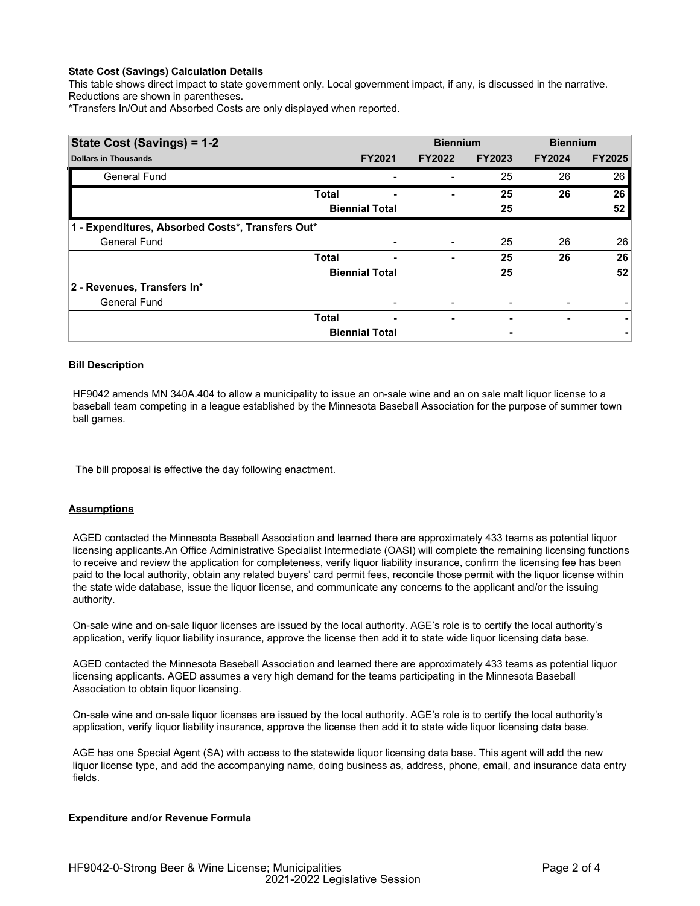# **State Cost (Savings) Calculation Details**

This table shows direct impact to state government only. Local government impact, if any, is discussed in the narrative. Reductions are shown in parentheses.

\*Transfers In/Out and Absorbed Costs are only displayed when reported.

| State Cost (Savings) = 1-2                        |              |                          | <b>Biennium</b> |               | <b>Biennium</b> |                 |
|---------------------------------------------------|--------------|--------------------------|-----------------|---------------|-----------------|-----------------|
| <b>Dollars in Thousands</b>                       |              | <b>FY2021</b>            | <b>FY2022</b>   | <b>FY2023</b> | <b>FY2024</b>   | <b>FY2025</b>   |
| <b>General Fund</b>                               |              |                          |                 | 25            | 26              | 26              |
|                                                   | <b>Total</b> | -                        | -               | 25            | 26              | 26 <sub>1</sub> |
|                                                   |              | <b>Biennial Total</b>    |                 | 25            |                 | 52              |
| 1 - Expenditures, Absorbed Costs*, Transfers Out* |              |                          |                 |               |                 |                 |
| <b>General Fund</b>                               |              |                          |                 | 25            | 26              | 26              |
|                                                   | <b>Total</b> |                          | ٠               | 25            | 26              | 26              |
|                                                   |              | <b>Biennial Total</b>    |                 | 25            |                 | 52              |
| 2 - Revenues, Transfers In*                       |              |                          |                 |               |                 |                 |
| <b>General Fund</b>                               |              |                          |                 |               |                 |                 |
|                                                   | <b>Total</b> | $\overline{\phantom{0}}$ | ۰               | ٠             | ۰               | ۰               |
|                                                   |              | <b>Biennial Total</b>    |                 |               |                 |                 |

# **Bill Description**

HF9042 amends MN 340A.404 to allow a municipality to issue an on-sale wine and an on sale malt liquor license to a baseball team competing in a league established by the Minnesota Baseball Association for the purpose of summer town ball games.

The bill proposal is effective the day following enactment.

### **Assumptions**

AGED contacted the Minnesota Baseball Association and learned there are approximately 433 teams as potential liquor licensing applicants.An Office Administrative Specialist Intermediate (OASI) will complete the remaining licensing functions to receive and review the application for completeness, verify liquor liability insurance, confirm the licensing fee has been paid to the local authority, obtain any related buyers' card permit fees, reconcile those permit with the liquor license within the state wide database, issue the liquor license, and communicate any concerns to the applicant and/or the issuing authority.

On-sale wine and on-sale liquor licenses are issued by the local authority. AGE's role is to certify the local authority's application, verify liquor liability insurance, approve the license then add it to state wide liquor licensing data base.

AGED contacted the Minnesota Baseball Association and learned there are approximately 433 teams as potential liquor licensing applicants. AGED assumes a very high demand for the teams participating in the Minnesota Baseball Association to obtain liquor licensing.

On-sale wine and on-sale liquor licenses are issued by the local authority. AGE's role is to certify the local authority's application, verify liquor liability insurance, approve the license then add it to state wide liquor licensing data base.

AGE has one Special Agent (SA) with access to the statewide liquor licensing data base. This agent will add the new liquor license type, and add the accompanying name, doing business as, address, phone, email, and insurance data entry fields.

### **Expenditure and/or Revenue Formula**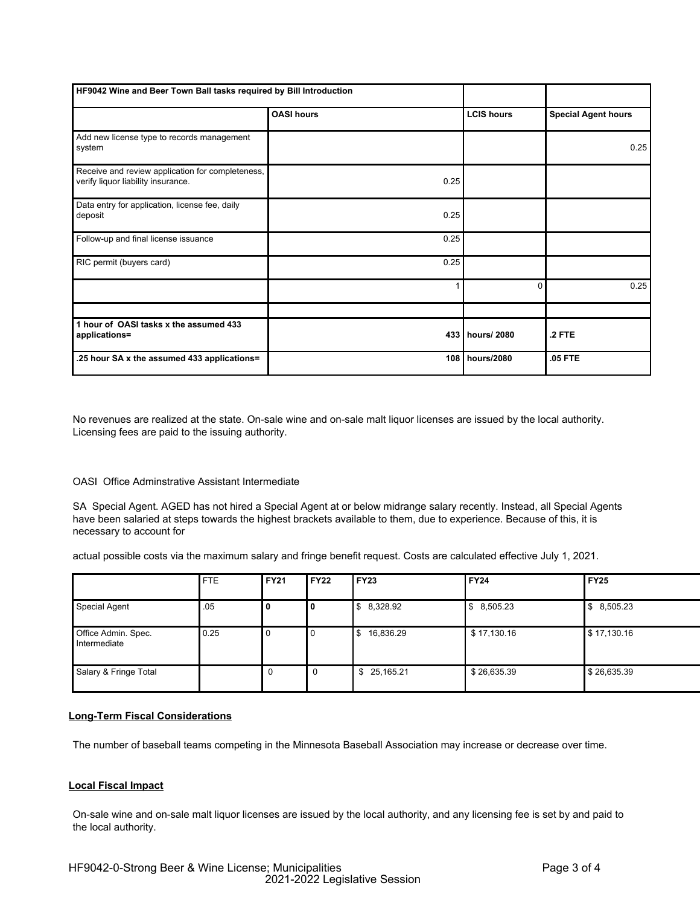| HF9042 Wine and Beer Town Ball tasks required by Bill Introduction                     |                   |                   |                            |
|----------------------------------------------------------------------------------------|-------------------|-------------------|----------------------------|
|                                                                                        | <b>OASI hours</b> | <b>LCIS hours</b> | <b>Special Agent hours</b> |
| Add new license type to records management<br>system                                   |                   |                   | 0.25                       |
| Receive and review application for completeness,<br>verify liquor liability insurance. | 0.25              |                   |                            |
| Data entry for application, license fee, daily<br>deposit                              | 0.25              |                   |                            |
| Follow-up and final license issuance                                                   | 0.25              |                   |                            |
| RIC permit (buyers card)                                                               | 0.25              |                   |                            |
|                                                                                        |                   | $\mathbf 0$       | 0.25                       |
|                                                                                        |                   |                   |                            |
| 1 hour of OASI tasks x the assumed 433<br>applications=                                |                   | 433   hours/ 2080 | $.2$ FTE                   |
| .25 hour SA x the assumed 433 applications=                                            | 108               | hours/2080        | .05 FTE                    |

No revenues are realized at the state. On-sale wine and on-sale malt liquor licenses are issued by the local authority. Licensing fees are paid to the issuing authority.

### OASI Office Adminstrative Assistant Intermediate

SA Special Agent. AGED has not hired a Special Agent at or below midrange salary recently. Instead, all Special Agents have been salaried at steps towards the highest brackets available to them, due to experience. Because of this, it is necessary to account for

actual possible costs via the maximum salary and fringe benefit request. Costs are calculated effective July 1, 2021.

|                                     | <b>FTE</b> | FY <sub>21</sub> | <b>FY22</b> | <b>FY23</b>     | l FY24                 | <b>FY25</b> |
|-------------------------------------|------------|------------------|-------------|-----------------|------------------------|-------------|
| <b>Special Agent</b>                | .05        | l 0              | 0           | 8,328.92<br>\$  | $\frac{1}{2}$ 8,505.23 | \$8,505.23  |
| Office Admin. Spec.<br>Intermediate | 0.25       | l 0              |             | 16,836.29<br>\$ | \$17,130.16            | \$17,130.16 |
| Salary & Fringe Total               |            | $\Omega$         | 0           | \$25,165.21     | \$26,635.39            | \$26,635.39 |

# **Long-Term Fiscal Considerations**

The number of baseball teams competing in the Minnesota Baseball Association may increase or decrease over time.

# **Local Fiscal Impact**

On-sale wine and on-sale malt liquor licenses are issued by the local authority, and any licensing fee is set by and paid to the local authority.